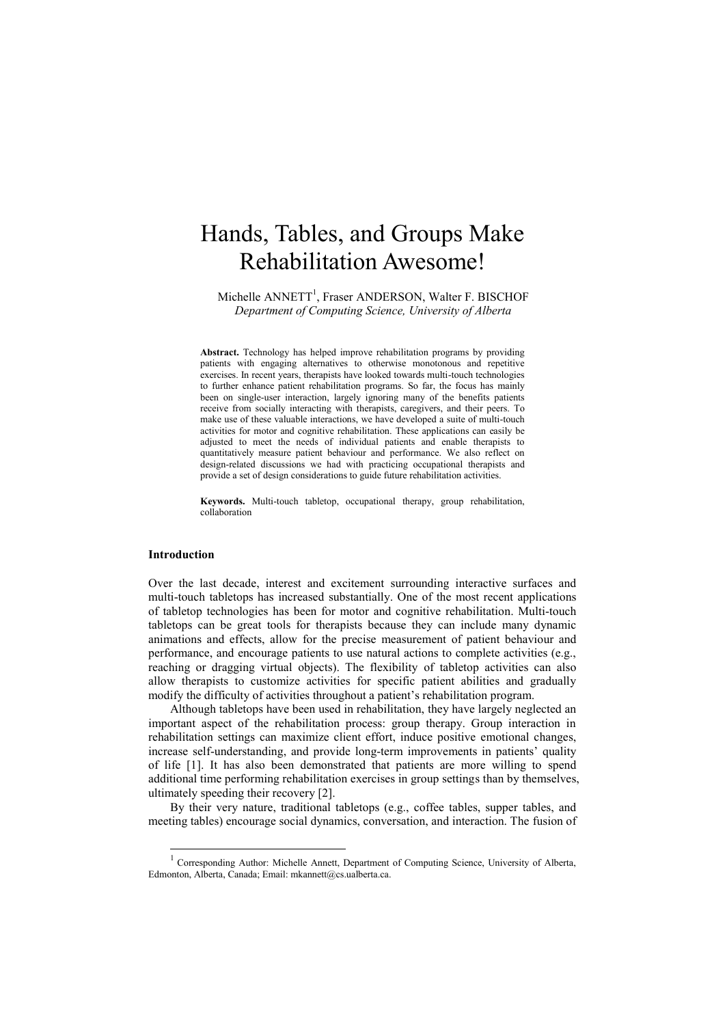# Hands, Tables, and Groups Make Rehabilitation Awesome!

Michelle ANNETT<sup>1</sup>, Fraser ANDERSON, Walter F. BISCHOF *Department of Computing Science, University of Alberta*

**Abstract.** Technology has helped improve rehabilitation programs by providing patients with engaging alternatives to otherwise monotonous and repetitive exercises. In recent years, therapists have looked towards multi-touch technologies to further enhance patient rehabilitation programs. So far, the focus has mainly been on single-user interaction, largely ignoring many of the benefits patients receive from socially interacting with therapists, caregivers, and their peers. To make use of these valuable interactions, we have developed a suite of multi-touch activities for motor and cognitive rehabilitation. These applications can easily be adjusted to meet the needs of individual patients and enable therapists to quantitatively measure patient behaviour and performance. We also reflect on design-related discussions we had with practicing occupational therapists and provide a set of design considerations to guide future rehabilitation activities.

**Keywords.** Multi-touch tabletop, occupational therapy, group rehabilitation, collaboration

# **Introduction**

-

Over the last decade, interest and excitement surrounding interactive surfaces and multi-touch tabletops has increased substantially. One of the most recent applications of tabletop technologies has been for motor and cognitive rehabilitation. Multi-touch tabletops can be great tools for therapists because they can include many dynamic animations and effects, allow for the precise measurement of patient behaviour and performance, and encourage patients to use natural actions to complete activities (e.g., reaching or dragging virtual objects). The flexibility of tabletop activities can also allow therapists to customize activities for specific patient abilities and gradually modify the difficulty of activities throughout a patient"s rehabilitation program.

Although tabletops have been used in rehabilitation, they have largely neglected an important aspect of the rehabilitation process: group therapy. Group interaction in rehabilitation settings can maximize client effort, induce positive emotional changes, increase self-understanding, and provide long-term improvements in patients' quality of life [1]. It has also been demonstrated that patients are more willing to spend additional time performing rehabilitation exercises in group settings than by themselves, ultimately speeding their recovery [2].

By their very nature, traditional tabletops (e.g., coffee tables, supper tables, and meeting tables) encourage social dynamics, conversation, and interaction. The fusion of

<sup>&</sup>lt;sup>1</sup> Corresponding Author: Michelle Annett, Department of Computing Science, University of Alberta, Edmonton, Alberta, Canada; Email: mkannett@cs.ualberta.ca.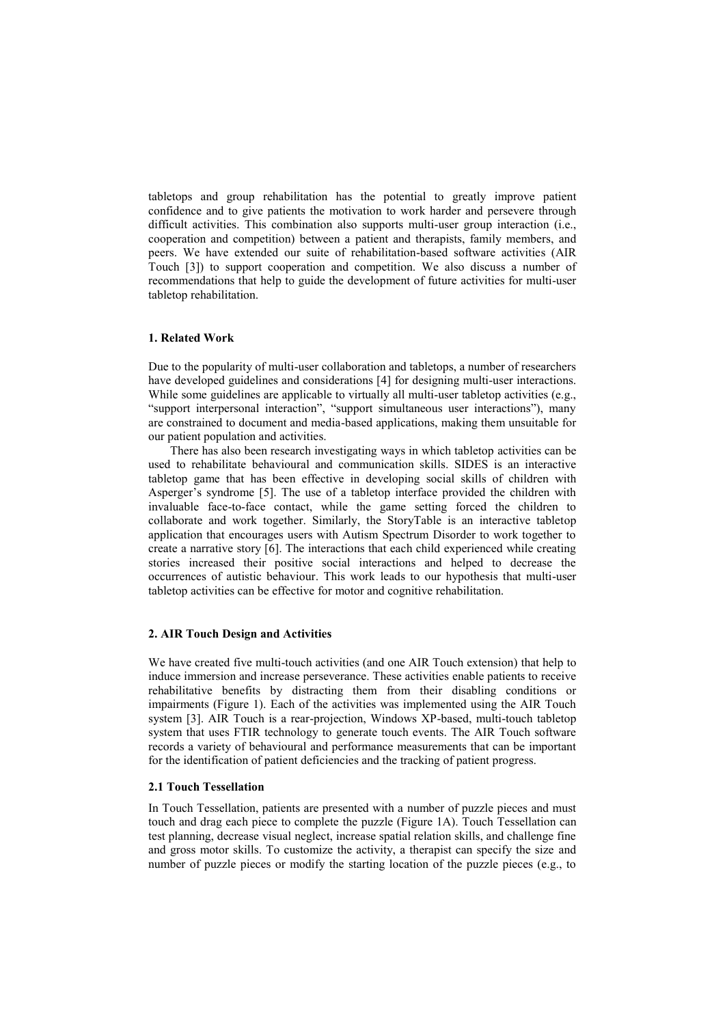tabletops and group rehabilitation has the potential to greatly improve patient confidence and to give patients the motivation to work harder and persevere through difficult activities. This combination also supports multi-user group interaction (i.e., cooperation and competition) between a patient and therapists, family members, and peers. We have extended our suite of rehabilitation-based software activities (AIR Touch [3]) to support cooperation and competition. We also discuss a number of recommendations that help to guide the development of future activities for multi-user tabletop rehabilitation.

# **1. Related Work**

Due to the popularity of multi-user collaboration and tabletops, a number of researchers have developed guidelines and considerations [4] for designing multi-user interactions. While some guidelines are applicable to virtually all multi-user tabletop activities (e.g., "support interpersonal interaction", "support simultaneous user interactions"), many are constrained to document and media-based applications, making them unsuitable for our patient population and activities.

There has also been research investigating ways in which tabletop activities can be used to rehabilitate behavioural and communication skills. SIDES is an interactive tabletop game that has been effective in developing social skills of children with Asperger's syndrome [5]. The use of a tabletop interface provided the children with invaluable face-to-face contact, while the game setting forced the children to collaborate and work together. Similarly, the StoryTable is an interactive tabletop application that encourages users with Autism Spectrum Disorder to work together to create a narrative story [6]. The interactions that each child experienced while creating stories increased their positive social interactions and helped to decrease the occurrences of autistic behaviour. This work leads to our hypothesis that multi-user tabletop activities can be effective for motor and cognitive rehabilitation.

#### **2. AIR Touch Design and Activities**

We have created five multi-touch activities (and one AIR Touch extension) that help to induce immersion and increase perseverance. These activities enable patients to receive rehabilitative benefits by distracting them from their disabling conditions or impairments (Figure 1). Each of the activities was implemented using the AIR Touch system [3]. AIR Touch is a rear-projection, Windows XP-based, multi-touch tabletop system that uses FTIR technology to generate touch events. The AIR Touch software records a variety of behavioural and performance measurements that can be important for the identification of patient deficiencies and the tracking of patient progress.

## **2.1 Touch Tessellation**

In Touch Tessellation, patients are presented with a number of puzzle pieces and must touch and drag each piece to complete the puzzle (Figure 1A). Touch Tessellation can test planning, decrease visual neglect, increase spatial relation skills, and challenge fine and gross motor skills. To customize the activity, a therapist can specify the size and number of puzzle pieces or modify the starting location of the puzzle pieces (e.g., to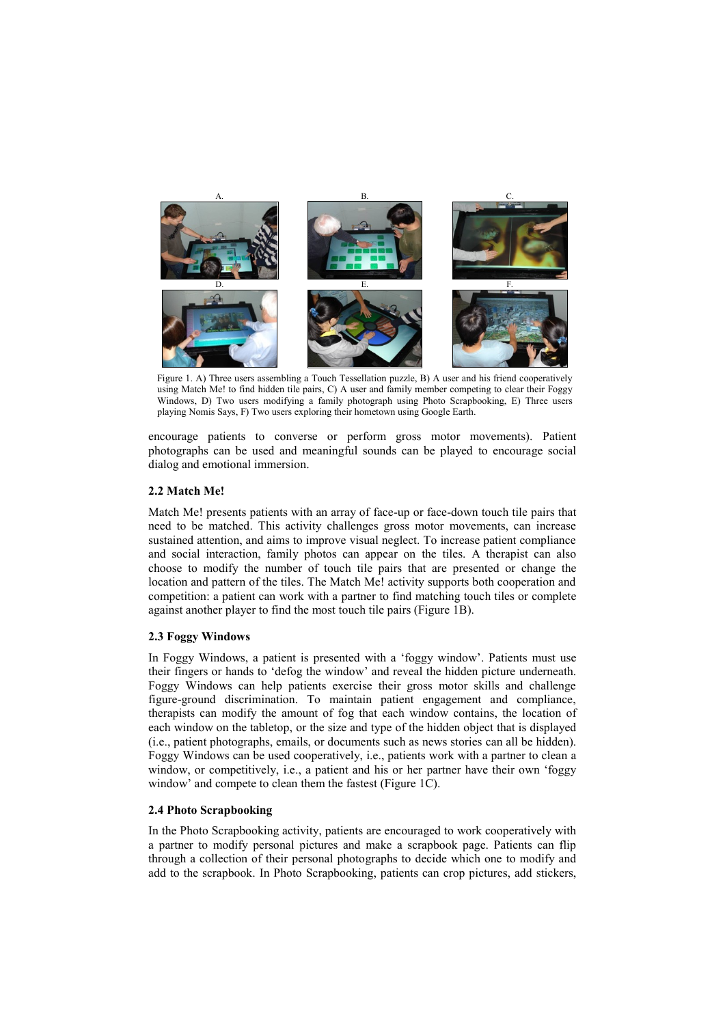

Figure 1. A) Three users assembling a Touch Tessellation puzzle, B) A user and his friend cooperatively using Match Me! to find hidden tile pairs, C) A user and family member competing to clear their Foggy Windows, D) Two users modifying a family photograph using Photo Scrapbooking, E) Three users playing Nomis Says, F) Two users exploring their hometown using Google Earth.

encourage patients to converse or perform gross motor movements). Patient photographs can be used and meaningful sounds can be played to encourage social dialog and emotional immersion.

## **2.2 Match Me!**

Match Me! presents patients with an array of face-up or face-down touch tile pairs that need to be matched. This activity challenges gross motor movements, can increase sustained attention, and aims to improve visual neglect. To increase patient compliance and social interaction, family photos can appear on the tiles. A therapist can also choose to modify the number of touch tile pairs that are presented or change the location and pattern of the tiles. The Match Me! activity supports both cooperation and competition: a patient can work with a partner to find matching touch tiles or complete against another player to find the most touch tile pairs (Figure 1B).

# **2.3 Foggy Windows**

In Foggy Windows, a patient is presented with a "foggy window". Patients must use their fingers or hands to "defog the window" and reveal the hidden picture underneath. Foggy Windows can help patients exercise their gross motor skills and challenge figure-ground discrimination. To maintain patient engagement and compliance, therapists can modify the amount of fog that each window contains, the location of each window on the tabletop, or the size and type of the hidden object that is displayed (i.e., patient photographs, emails, or documents such as news stories can all be hidden). Foggy Windows can be used cooperatively, i.e., patients work with a partner to clean a window, or competitively, i.e., a patient and his or her partner have their own 'foggy window" and compete to clean them the fastest (Figure 1C).

# **2.4 Photo Scrapbooking**

In the Photo Scrapbooking activity, patients are encouraged to work cooperatively with a partner to modify personal pictures and make a scrapbook page. Patients can flip through a collection of their personal photographs to decide which one to modify and add to the scrapbook. In Photo Scrapbooking, patients can crop pictures, add stickers,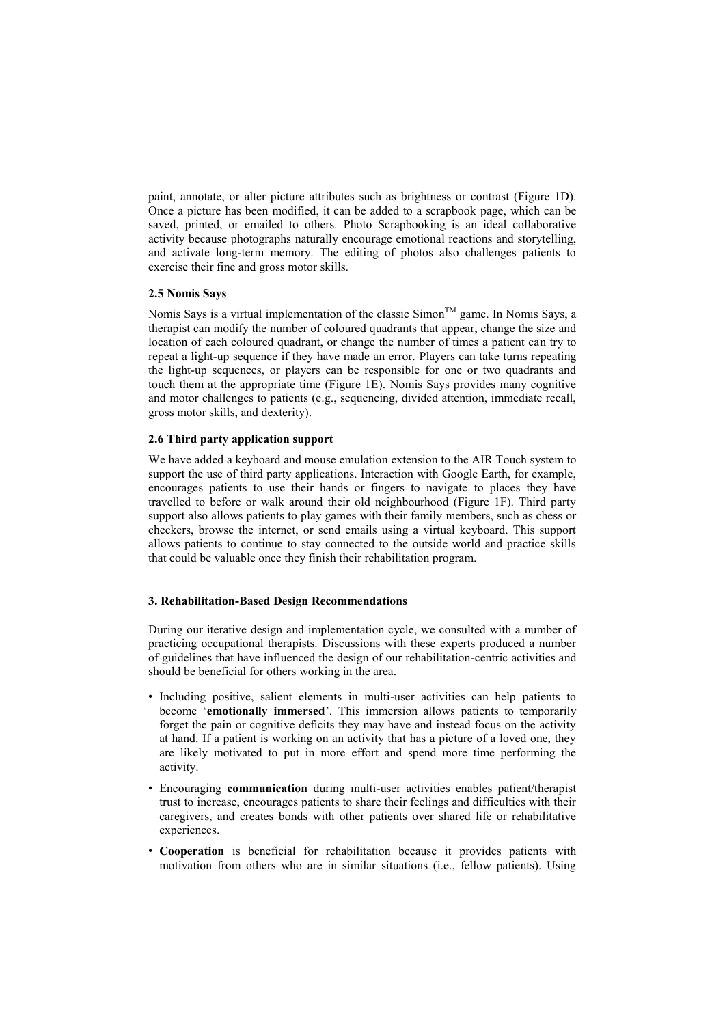paint, annotate, or alter picture attributes such as brightness or contrast (Figure 1D). Once a picture has been modified, it can be added to a scrapbook page, which can be saved, printed, or emailed to others. Photo Scrapbooking is an ideal collaborative activity because photographs naturally encourage emotional reactions and storytelling, and activate long-term memory. The editing of photos also challenges patients to exercise their fine and gross motor skills.

# **2.5 Nomis Says**

Nomis Says is a virtual implementation of the classic  $Simon^{TM}$  game. In Nomis Says, a therapist can modify the number of coloured quadrants that appear, change the size and location of each coloured quadrant, or change the number of times a patient can try to repeat a light-up sequence if they have made an error. Players can take turns repeating the light-up sequences, or players can be responsible for one or two quadrants and touch them at the appropriate time (Figure 1E). Nomis Says provides many cognitive and motor challenges to patients (e.g., sequencing, divided attention, immediate recall, gross motor skills, and dexterity).

# **2.6 Third party application support**

We have added a keyboard and mouse emulation extension to the AIR Touch system to support the use of third party applications. Interaction with Google Earth, for example, encourages patients to use their hands or fingers to navigate to places they have travelled to before or walk around their old neighbourhood (Figure 1F). Third party support also allows patients to play games with their family members, such as chess or checkers, browse the internet, or send emails using a virtual keyboard. This support allows patients to continue to stay connected to the outside world and practice skills that could be valuable once they finish their rehabilitation program.

## **3. Rehabilitation-Based Design Recommendations**

During our iterative design and implementation cycle, we consulted with a number of practicing occupational therapists. Discussions with these experts produced a number of guidelines that have influenced the design of our rehabilitation-centric activities and should be beneficial for others working in the area.

- Including positive, salient elements in multi-user activities can help patients to become "**emotionally immersed**". This immersion allows patients to temporarily forget the pain or cognitive deficits they may have and instead focus on the activity at hand. If a patient is working on an activity that has a picture of a loved one, they are likely motivated to put in more effort and spend more time performing the activity.
- Encouraging **communication** during multi-user activities enables patient/therapist trust to increase, encourages patients to share their feelings and difficulties with their caregivers, and creates bonds with other patients over shared life or rehabilitative experiences.
- **Cooperation** is beneficial for rehabilitation because it provides patients with motivation from others who are in similar situations (i.e., fellow patients). Using